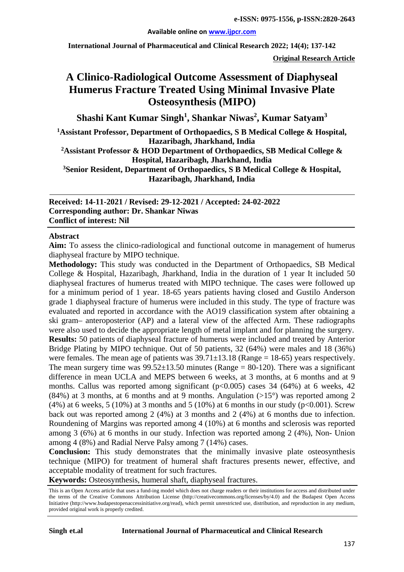#### **Available online on [www.ijpcr.com](http://www.ijpcr.com/)**

**International Journal of Pharmaceutical and Clinical Research 2022; 14(4); 137-142**

**Original Research Article**

# **A Clinico-Radiological Outcome Assessment of Diaphyseal Humerus Fracture Treated Using Minimal Invasive Plate Osteosynthesis (MIPO)**

**Shashi Kant Kumar Singh1 , Shankar Niwas<sup>2</sup> , Kumar Satyam3**

**1 Assistant Professor, Department of Orthopaedics, S B Medical College & Hospital, Hazaribagh, Jharkhand, India**

**2Assistant Professor & HOD Department of Orthopaedics, SB Medical College & Hospital, Hazaribagh, Jharkhand, India**

**3Senior Resident, Department of Orthopaedics, S B Medical College & Hospital, Hazaribagh, Jharkhand, India**

**Received: 14-11-2021 / Revised: 29-12-2021 / Accepted: 24-02-2022 Corresponding author: Dr. Shankar Niwas Conflict of interest: Nil**

#### **Abstract**

**Aim:** To assess the clinico-radiological and functional outcome in management of humerus diaphyseal fracture by MIPO technique.

**Methodology:** This study was conducted in the Department of Orthopaedics, SB Medical College & Hospital, Hazaribagh, Jharkhand, India in the duration of 1 year It included 50 diaphyseal fractures of humerus treated with MIPO technique. The cases were followed up for a minimum period of 1 year. 18-65 years patients having closed and Gustilo Anderson grade 1 diaphyseal fracture of humerus were included in this study. The type of fracture was evaluated and reported in accordance with the AO19 classification system after obtaining a ski gram– anteroposterior (AP) and a lateral view of the affected Arm. These radiographs were also used to decide the appropriate length of metal implant and for planning the surgery. **Results:** 50 patients of diaphyseal fracture of humerus were included and treated by Anterior Bridge Plating by MIPO technique. Out of 50 patients, 32 (64%) were males and 18 (36%) were females. The mean age of patients was  $39.71 \pm 13.18$  (Range = 18-65) years respectively. The mean surgery time was  $99.52 \pm 13.50$  minutes (Range = 80-120). There was a significant difference in mean UCLA and MEPS between 6 weeks, at 3 months, at 6 months and at 9 months. Callus was reported among significant  $(p<0.005)$  cases 34 (64%) at 6 weeks, 42 (84%) at 3 months, at 6 months and at 9 months. Angulation  $(>15^{\circ})$  was reported among 2  $(4\%)$  at 6 weeks, 5 (10%) at 3 months and 5 (10%) at 6 months in our study (p<0.001). Screw back out was reported among 2 (4%) at 3 months and 2 (4%) at 6 months due to infection. Roundening of Margins was reported among 4 (10%) at 6 months and sclerosis was reported among 3 (6%) at 6 months in our study. Infection was reported among 2 (4%), Non- Union among 4 (8%) and Radial Nerve Palsy among 7 (14%) cases.

**Conclusion:** This study demonstrates that the minimally invasive plate osteosynthesis technique (MIPO) for treatment of humeral shaft fractures presents newer, effective, and acceptable modality of treatment for such fractures.

**Keywords:** Osteosynthesis, humeral shaft, diaphyseal fractures.

This is an Open Access article that uses a fund-ing model which does not charge readers or their institutions for access and distributed under the terms of the Creative Commons Attribution License (http://creativecommons.org/licenses/by/4.0) and the Budapest Open Access Initiative (http://www.budapestopenaccessinitiative.org/read), which permit unrestricted use, distribution, and reproduction in any medium, provided original work is properly credited.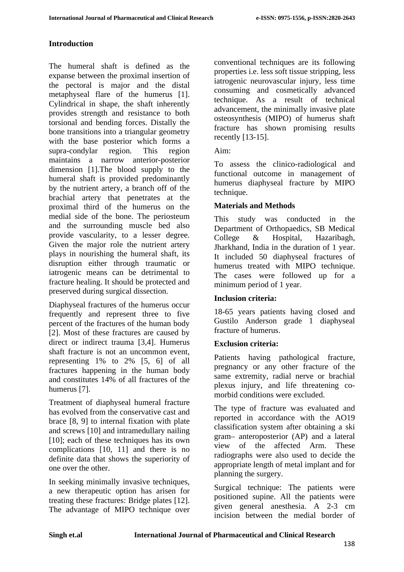#### **Introduction**

The humeral shaft is defined as the expanse between the proximal insertion of the pectoral is major and the distal metaphyseal flare of the humerus [1]. Cylindrical in shape, the shaft inherently provides strength and resistance to both torsional and bending forces. Distally the bone transitions into a triangular geometry with the base posterior which forms a supra-condylar region. This region maintains a narrow anterior-posterior dimension [1].The blood supply to the humeral shaft is provided predominantly by the nutrient artery, a branch off of the brachial artery that penetrates at the proximal third of the humerus on the medial side of the bone. The periosteum and the surrounding muscle bed also provide vascularity, to a lesser degree. Given the major role the nutrient artery plays in nourishing the humeral shaft, its disruption either through traumatic or iatrogenic means can be detrimental to fracture healing. It should be protected and preserved during surgical dissection.

Diaphyseal fractures of the humerus occur frequently and represent three to five percent of the fractures of the human body [2]. Most of these fractures are caused by direct or indirect trauma [3,4]. Humerus shaft fracture is not an uncommon event, representing 1% to 2% [5, 6] of all fractures happening in the human body and constitutes 14% of all fractures of the humerus [7].

Treatment of diaphyseal humeral fracture has evolved from the conservative cast and brace [8, 9] to internal fixation with plate and screws [10] and intramedullary nailing [10]; each of these techniques has its own complications [10, 11] and there is no definite data that shows the superiority of one over the other.

In seeking minimally invasive techniques, a new therapeutic option has arisen for treating these fractures: Bridge plates [12]. The advantage of MIPO technique over

conventional techniques are its following properties i.e. less soft tissue stripping, less iatrogenic neurovascular injury, less time consuming and cosmetically advanced technique. As a result of technical advancement, the minimally invasive plate osteosynthesis (MIPO) of humerus shaft fracture has shown promising results recently [13-15].

Aim:

To assess the clinico-radiological and functional outcome in management of humerus diaphyseal fracture by MIPO technique.

## **Materials and Methods**

This study was conducted in the Department of Orthopaedics, SB Medical College & Hospital, Hazaribagh, Jharkhand, India in the duration of 1 year. It included 50 diaphyseal fractures of humerus treated with MIPO technique. The cases were followed up for a minimum period of 1 year.

## **Inclusion criteria:**

18-65 years patients having closed and Gustilo Anderson grade 1 diaphyseal fracture of humerus.

## **Exclusion criteria:**

Patients having pathological fracture, pregnancy or any other fracture of the same extremity, radial nerve or brachial plexus injury, and life threatening comorbid conditions were excluded.

The type of fracture was evaluated and reported in accordance with the AO19 classification system after obtaining a ski gram– anteroposterior (AP) and a lateral view of the affected Arm. These radiographs were also used to decide the appropriate length of metal implant and for planning the surgery.

Surgical technique: The patients were positioned supine. All the patients were given general anesthesia. A 2-3 cm incision between the medial border of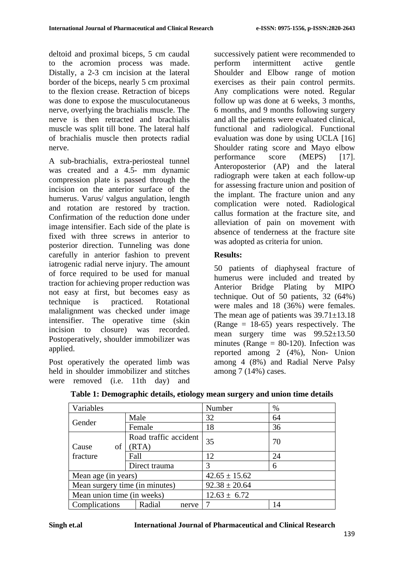deltoid and proximal biceps, 5 cm caudal to the acromion process was made. Distally, a 2-3 cm incision at the lateral border of the biceps, nearly 5 cm proximal to the flexion crease. Retraction of biceps was done to expose the musculocutaneous nerve, overlying the brachialis muscle. The nerve is then retracted and brachialis muscle was split till bone. The lateral half of brachialis muscle then protects radial nerve.

A sub-brachialis, extra-periosteal tunnel was created and a 4.5- mm dynamic compression plate is passed through the incision on the anterior surface of the humerus. Varus/ valgus angulation, length and rotation are restored by traction. Confirmation of the reduction done under image intensifier. Each side of the plate is fixed with three screws in anterior to posterior direction. Tunneling was done carefully in anterior fashion to prevent iatrogenic radial nerve injury. The amount of force required to be used for manual traction for achieving proper reduction was not easy at first, but becomes easy as technique is practiced. Rotational malalignment was checked under image intensifier. The operative time (skin incision to closure) was recorded. Postoperatively, shoulder immobilizer was applied.

Post operatively the operated limb was held in shoulder immobilizer and stitches were removed (i.e. 11th day) and successively patient were recommended to perform intermittent active gentle Shoulder and Elbow range of motion exercises as their pain control permits. Any complications were noted. Regular follow up was done at 6 weeks, 3 months, 6 months, and 9 months following surgery and all the patients were evaluated clinical, functional and radiological. Functional evaluation was done by using UCLA [16] Shoulder rating score and Mayo elbow performance score (MEPS) [17]. Anteroposterior (AP) and the lateral radiograph were taken at each follow-up for assessing fracture union and position of the implant. The fracture union and any complication were noted. Radiological callus formation at the fracture site, and alleviation of pain on movement with absence of tenderness at the fracture site was adopted as criteria for union.

## **Results:**

50 patients of diaphyseal fracture of humerus were included and treated by Anterior Bridge Plating by MIPO technique. Out of 50 patients, 32 (64%) were males and 18 (36%) were females. The mean age of patients was  $39.71 \pm 13.18$  $(Range = 18-65)$  years respectively. The mean surgery time was 99.52±13.50 minutes ( $\angle$ Range = 80-120). Infection was reported among 2 (4%), Non- Union among 4 (8%) and Radial Nerve Palsy among 7 (14%) cases.

| Variables                      |                       | Number            | $\%$ |
|--------------------------------|-----------------------|-------------------|------|
|                                | Male                  | 32                | 64   |
| Gender                         | Female                | 18                | 36   |
|                                | Road traffic accident | 35                | 70   |
| of<br>Cause                    | (RTA)                 |                   |      |
| fracture                       | Fall                  | 12                | 24   |
|                                | Direct trauma         | 3                 | 6    |
| Mean age (in years)            |                       | $42.65 \pm 15.62$ |      |
| Mean surgery time (in minutes) |                       | $92.38 \pm 20.64$ |      |
| Mean union time (in weeks)     |                       | $12.63 \pm 6.72$  |      |
| Complications                  | Radial<br>nerve       |                   | 14   |

|  |  |  |  | Table 1: Demographic details, etiology mean surgery and union time details |
|--|--|--|--|----------------------------------------------------------------------------|
|--|--|--|--|----------------------------------------------------------------------------|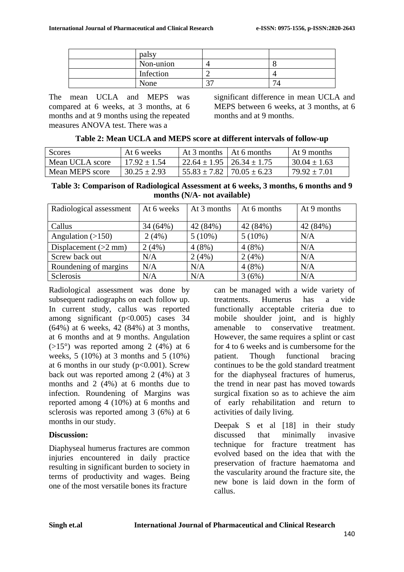| palsy     |   |     |
|-----------|---|-----|
| Non-union |   |     |
| Infection |   |     |
| None      | ∼ | − ∧ |

The mean UCLA and MEPS was compared at 6 weeks, at 3 months, at 6 months and at 9 months using the repeated measures ANOVA test. There was a

significant difference in mean UCLA and MEPS between 6 weeks, at 3 months, at 6 months and at 9 months.

| Table 2: Mean UCLA and MEPS score at different intervals of follow-up |
|-----------------------------------------------------------------------|
|-----------------------------------------------------------------------|

| Scores          | At 6 weeks       | At 3 months $\vert$ At 6 months      | At 9 months    |
|-----------------|------------------|--------------------------------------|----------------|
| Mean UCLA score | $17.92 + 1.54$   | $22.64 \pm 1.95$   26.34 $\pm$ 1.75  | $30.04 + 1.63$ |
| Mean MEPS score | $30.25 \pm 2.93$ | $155.83 \pm 7.82$   $70.05 \pm 6.23$ | $79.92 + 7.01$ |

**Table 3: Comparison of Radiological Assessment at 6 weeks, 3 months, 6 months and 9 months (N/A- not available)**

| Radiological assessment | At 6 weeks | At 3 months | At 6 months | At 9 months |
|-------------------------|------------|-------------|-------------|-------------|
| Callus                  | 34 (64%)   | 42 (84%)    | 42 (84%)    | 42 (84%)    |
| Angulation $(>150)$     | 2(4%)      | $5(10\%)$   | $5(10\%)$   | N/A         |
| Displacement $(>2$ mm)  | 2(4%)      | 4(8%)       | 4(8%)       | N/A         |
| Screw back out          | N/A        | 2(4%)       | 2(4%)       | N/A         |
| Roundening of margins   | N/A        | N/A         | 4(8%)       | N/A         |
| <b>Sclerosis</b>        | N/A        | N/A         | 3(6%)       | N/A         |

Radiological assessment was done by subsequent radiographs on each follow up. In current study, callus was reported among significant  $(p<0.005)$  cases 34 (64%) at 6 weeks, 42 (84%) at 3 months, at 6 months and at 9 months. Angulation  $(>15^{\circ})$  was reported among 2 (4%) at 6 weeks, 5 (10%) at 3 months and 5 (10%) at 6 months in our study  $(p<0.001)$ . Screw back out was reported among 2 (4%) at 3 months and 2 (4%) at 6 months due to infection. Roundening of Margins was reported among 4 (10%) at 6 months and sclerosis was reported among 3 (6%) at 6 months in our study.

#### **Discussion:**

Diaphyseal humerus fractures are common injuries encountered in daily practice resulting in significant burden to society in terms of productivity and wages. Being one of the most versatile bones its fracture

can be managed with a wide variety of treatments. Humerus has a vide functionally acceptable criteria due to mobile shoulder joint, and is highly amenable to conservative treatment. However, the same requires a splint or cast for 4 to 6 weeks and is cumbersome for the patient. Though functional bracing continues to be the gold standard treatment for the diaphyseal fractures of humerus, the trend in near past has moved towards surgical fixation so as to achieve the aim of early rehabilitation and return to activities of daily living.

Deepak S et al [18] in their study discussed that minimally invasive technique for fracture treatment has evolved based on the idea that with the preservation of fracture haematoma and the vascularity around the fracture site, the new bone is laid down in the form of callus.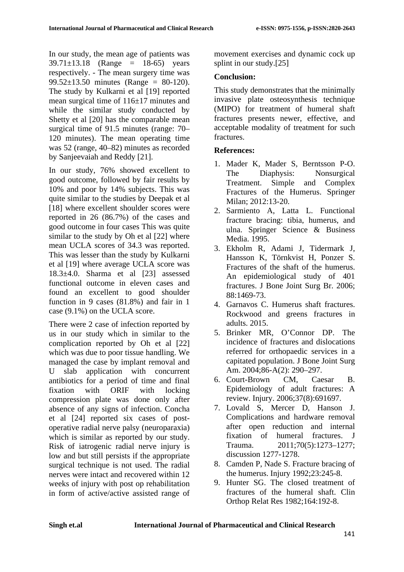In our study, the mean age of patients was  $39.71 \pm 13.18$  (Range = 18-65) years respectively. - The mean surgery time was 99.52 $\pm$ 13.50 minutes (Range = 80-120). The study by Kulkarni et al [19] reported mean surgical time of 116±17 minutes and while the similar study conducted by Shetty et al [20] has the comparable mean surgical time of 91.5 minutes (range: 70– 120 minutes). The mean operating time was 52 (range, 40–82) minutes as recorded by Sanjeevaiah and Reddy [21].

In our study, 76% showed excellent to good outcome, followed by fair results by 10% and poor by 14% subjects. This was quite similar to the studies by Deepak et al [18] where excellent shoulder scores were reported in 26 (86.7%) of the cases and good outcome in four cases This was quite similar to the study by Oh et al [22] where mean UCLA scores of 34.3 was reported. This was lesser than the study by Kulkarni et al [19] where average UCLA score was 18.3±4.0. Sharma et al [23] assessed functional outcome in eleven cases and found an excellent to good shoulder function in 9 cases (81.8%) and fair in 1 case (9.1%) on the UCLA score.

There were 2 case of infection reported by us in our study which in similar to the complication reported by Oh et al [22] which was due to poor tissue handling. We managed the case by implant removal and U slab application with concurrent antibiotics for a period of time and final fixation with ORIF with locking compression plate was done only after absence of any signs of infection. Concha et al [24] reported six cases of postoperative radial nerve palsy (neuroparaxia) which is similar as reported by our study. Risk of iatrogenic radial nerve injury is low and but still persists if the appropriate surgical technique is not used. The radial nerves were intact and recovered within 12 weeks of injury with post op rehabilitation in form of active/active assisted range of movement exercises and dynamic cock up splint in our study.[25]

## **Conclusion:**

This study demonstrates that the minimally invasive plate osteosynthesis technique (MIPO) for treatment of humeral shaft fractures presents newer, effective, and acceptable modality of treatment for such fractures.

# **References:**

- 1. Mader K, Mader S, Berntsson P-O. The Diaphysis: Nonsurgical Treatment. Simple and Complex Fractures of the Humerus. Springer Milan; 2012:13-20.
- 2. Sarmiento A, Latta L. Functional fracture bracing: tibia, humerus, and ulna. Springer Science & Business Media. 1995.
- 3. Ekholm R, Adami J, Tidermark J, Hansson K, Törnkvist H, Ponzer S. Fractures of the shaft of the humerus. An epidemiological study of 401 fractures. J Bone Joint Surg Br. 2006; 88:1469-73.
- 4. Garnavos C. Humerus shaft fractures. Rockwood and greens fractures in adults. 2015.
- 5. Brinker MR, O'Connor DP. The incidence of fractures and dislocations referred for orthopaedic services in a capitated population. J Bone Joint Surg Am. 2004;86-A(2): 290–297.
- 6. Court-Brown CM, Caesar B. Epidemiology of adult fractures: A review. Injury. 2006;37(8):691697.
- 7. Lovald S, Mercer D, Hanson J. Complications and hardware removal after open reduction and internal fixation of humeral fractures. J Trauma. 2011;70(5):1273–1277; discussion 1277-1278.
- 8. Camden P, Nade S. Fracture bracing of the humerus. Injury 1992;23:245-8.
- 9. Hunter SG. The closed treatment of fractures of the humeral shaft. Clin Orthop Relat Res 1982;164:192-8.